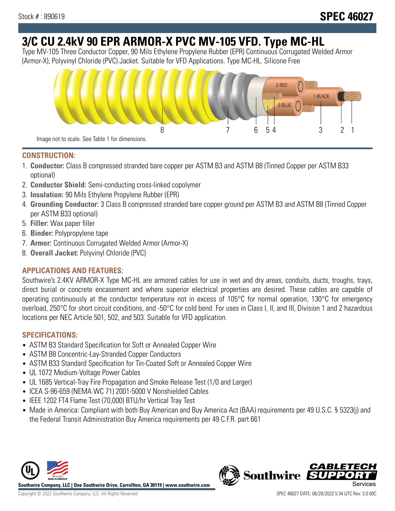# **3/C CU 2.4kV 90 EPR ARMOR-X PVC MV-105 VFD. Type MC-HL**

Type MV-105 Three Conductor Copper, 90 Mils Ethylene Propylene Rubber (EPR) Continuous Corrugated Welded Armor (Armor-X), Polyvinyl Chloride (PVC) Jacket. Suitable for VFD Applications. Type MC-HL. Silicone Free



### **CONSTRUCTION:**

- 1. **Conductor:** Class B compressed stranded bare copper per ASTM B3 and ASTM B8 (Tinned Copper per ASTM B33 optional)
- 2. **Conductor Shield:** Semi-conducting cross-linked copolymer
- 3. **Insulation:** 90 Mils Ethylene Propylene Rubber (EPR)
- 4. **Grounding Conductor:** 3 Class B compressed stranded bare copper ground per ASTM B3 and ASTM B8 (Tinned Copper per ASTM B33 optional)
- 5. **Filler:** Wax paper filler
- 6. **Binder:** Polypropylene tape
- 7. **Armor:** Continuous Corrugated Welded Armor (Armor-X)
- 8. **Overall Jacket:** Polyvinyl Chloride (PVC)

# **APPLICATIONS AND FEATURES:**

Southwire's 2.4KV ARMOR-X Type MC-HL are armored cables for use in wet and dry areas, conduits, ducts, troughs, trays, direct burial or concrete encasement and where superior electrical properties are desired. These cables are capable of operating continuously at the conductor temperature not in excess of 105°C for normal operation, 130°C for emergency overload, 250°C for short circuit conditions, and -50°C for cold bend. For uses in Class I, II, and III, Division 1 and 2 hazardous locations per NEC Article 501, 502, and 503. Suitable for VFD application.

## **SPECIFICATIONS:**

- ASTM B3 Standard Specification for Soft or Annealed Copper Wire
- ASTM B8 Concentric-Lay-Stranded Copper Conductors
- ASTM B33 Standard Specification for Tin-Coated Soft or Annealed Copper Wire
- UL 1072 Medium-Voltage Power Cables
- UL 1685 Vertical-Tray Fire Propagation and Smoke Release Test (1/0 and Larger)
- ICEA S-96-659 (NEMA WC 71) 2001-5000 V Nonshielded Cables
- IEEE 1202 FT4 Flame Test (70,000) BTU/hr Vertical Tray Test
- Made in America: Compliant with both Buy American and Buy America Act (BAA) requirements per 49 U.S.C. § 5323(j) and the Federal Transit Administration Buy America requirements per 49 C.F.R. part 661